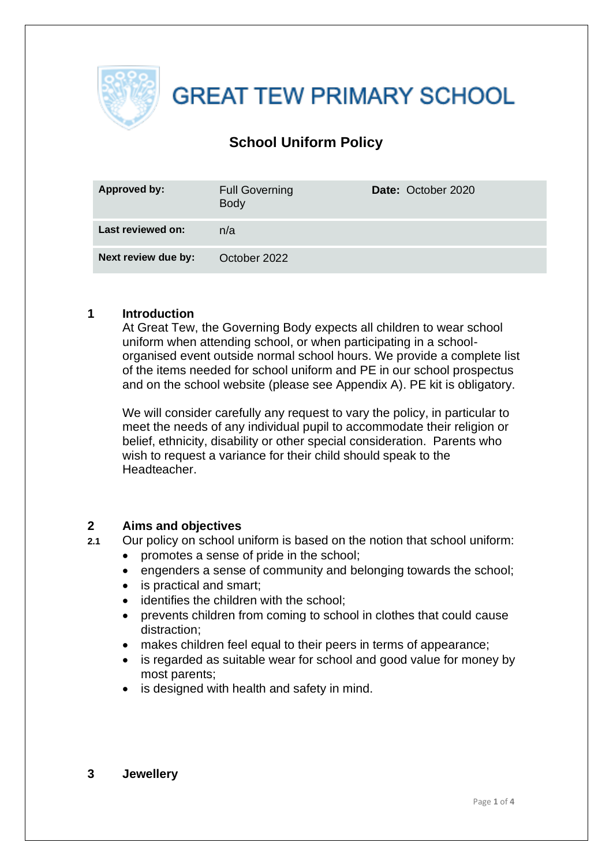

**GREAT TEW PRIMARY SCHOOL** 

### **School Uniform Policy**

| <b>Approved by:</b> | <b>Full Governing</b><br><b>Body</b> | Date: October 2020 |
|---------------------|--------------------------------------|--------------------|
| Last reviewed on:   | n/a                                  |                    |
| Next review due by: | October 2022                         |                    |

#### **1 Introduction**

At Great Tew, the Governing Body expects all children to wear school uniform when attending school, or when participating in a schoolorganised event outside normal school hours. We provide a complete list of the items needed for school uniform and PE in our school prospectus and on the school website (please see Appendix A). PE kit is obligatory.

We will consider carefully any request to vary the policy, in particular to meet the needs of any individual pupil to accommodate their religion or belief, ethnicity, disability or other special consideration. Parents who wish to request a variance for their child should speak to the Headteacher.

#### **2 Aims and objectives**

**2.1** Our policy on school uniform is based on the notion that school uniform:

- promotes a sense of pride in the school;
- engenders a sense of community and belonging towards the school;
- is practical and smart;
- identifies the children with the school;
- prevents children from coming to school in clothes that could cause distraction;
- makes children feel equal to their peers in terms of appearance;
- is regarded as suitable wear for school and good value for money by most parents;
- is designed with health and safety in mind.

#### **3 Jewellery**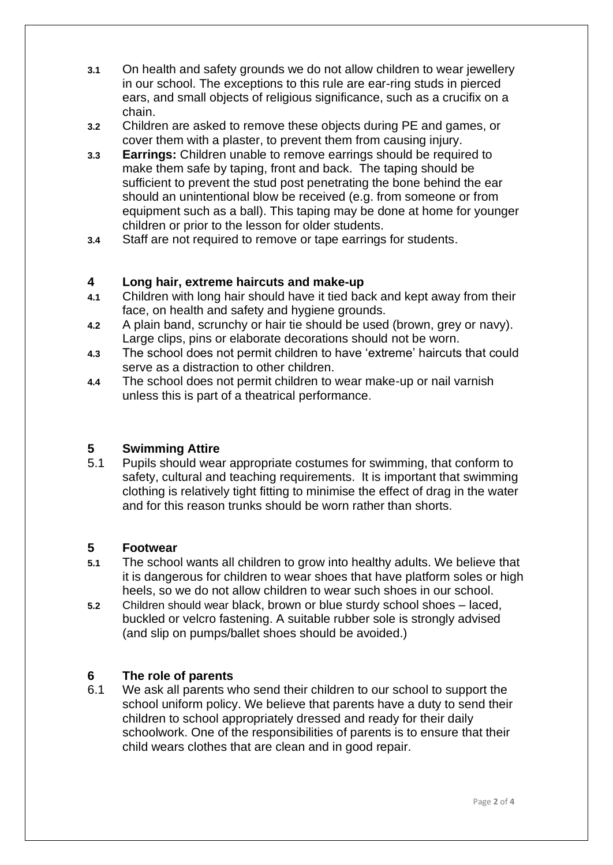- **3.1** On health and safety grounds we do not allow children to wear jewellery in our school. The exceptions to this rule are ear-ring studs in pierced ears, and small objects of religious significance, such as a crucifix on a chain.
- **3.2** Children are asked to remove these objects during PE and games, or cover them with a plaster, to prevent them from causing injury.
- **3.3 Earrings:** Children unable to remove earrings should be required to make them safe by taping, front and back. The taping should be sufficient to prevent the stud post penetrating the bone behind the ear should an unintentional blow be received (e.g. from someone or from equipment such as a ball). This taping may be done at home for younger children or prior to the lesson for older students.
- **3.4** Staff are not required to remove or tape earrings for students.

#### **4 Long hair, extreme haircuts and make-up**

- **4.1** Children with long hair should have it tied back and kept away from their face, on health and safety and hygiene grounds.
- **4.2** A plain band, scrunchy or hair tie should be used (brown, grey or navy). Large clips, pins or elaborate decorations should not be worn.
- **4.3** The school does not permit children to have 'extreme' haircuts that could serve as a distraction to other children.
- **4.4** The school does not permit children to wear make-up or nail varnish unless this is part of a theatrical performance.

#### **5 Swimming Attire**

5.1 Pupils should wear appropriate costumes for swimming, that conform to safety, cultural and teaching requirements. It is important that swimming clothing is relatively tight fitting to minimise the effect of drag in the water and for this reason trunks should be worn rather than shorts.

#### **5 Footwear**

- **5.1** The school wants all children to grow into healthy adults. We believe that it is dangerous for children to wear shoes that have platform soles or high heels, so we do not allow children to wear such shoes in our school.
- **5.2** Children should wear black, brown or blue sturdy school shoes laced, buckled or velcro fastening. A suitable rubber sole is strongly advised (and slip on pumps/ballet shoes should be avoided.)

#### **6 The role of parents**

6.1 We ask all parents who send their children to our school to support the school uniform policy. We believe that parents have a duty to send their children to school appropriately dressed and ready for their daily schoolwork. One of the responsibilities of parents is to ensure that their child wears clothes that are clean and in good repair.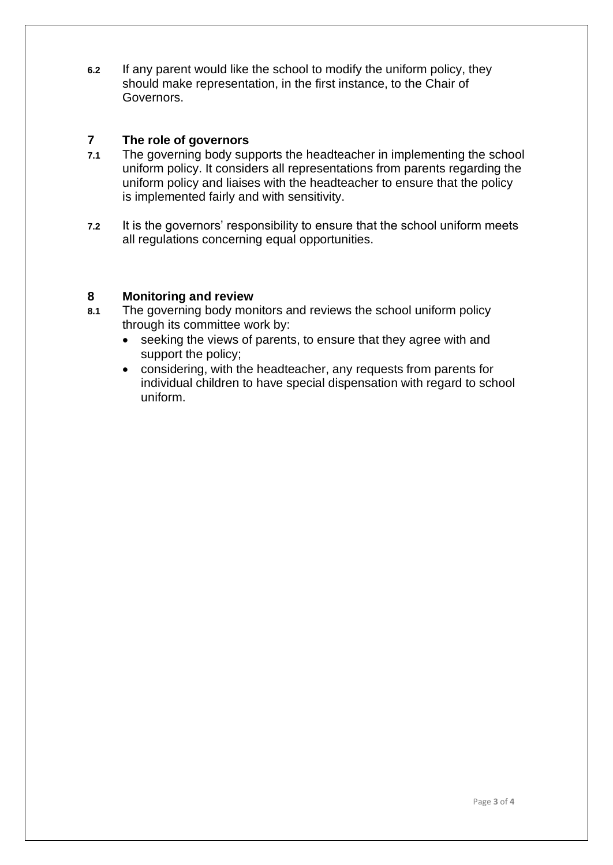**6.2** If any parent would like the school to modify the uniform policy, they should make representation, in the first instance, to the Chair of Governors.

#### **7 The role of governors**

- **7.1** The governing body supports the headteacher in implementing the school uniform policy. It considers all representations from parents regarding the uniform policy and liaises with the headteacher to ensure that the policy is implemented fairly and with sensitivity.
- **7.2** It is the governors' responsibility to ensure that the school uniform meets all regulations concerning equal opportunities.

#### **8 Monitoring and review**

- **8.1** The governing body monitors and reviews the school uniform policy through its committee work by:
	- seeking the views of parents, to ensure that they agree with and support the policy;
	- considering, with the headteacher, any requests from parents for individual children to have special dispensation with regard to school uniform.